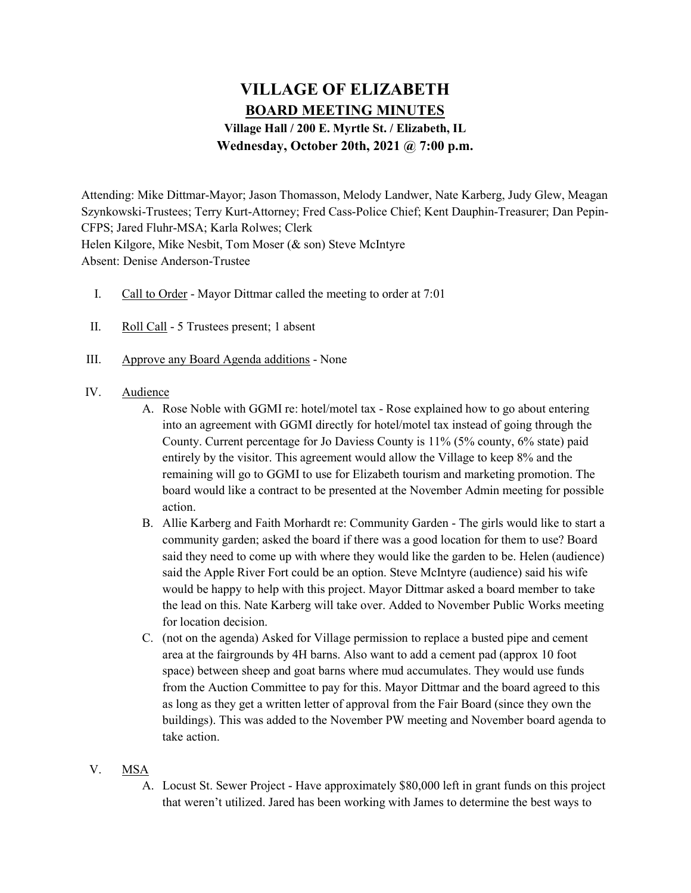# VILLAGE OF ELIZABETH BOARD MEETING MINUTES Village Hall / 200 E. Myrtle St. / Elizabeth, IL Wednesday, October 20th, 2021 @ 7:00 p.m.

Attending: Mike Dittmar-Mayor; Jason Thomasson, Melody Landwer, Nate Karberg, Judy Glew, Meagan Szynkowski-Trustees; Terry Kurt-Attorney; Fred Cass-Police Chief; Kent Dauphin-Treasurer; Dan Pepin-CFPS; Jared Fluhr-MSA; Karla Rolwes; Clerk Helen Kilgore, Mike Nesbit, Tom Moser (& son) Steve McIntyre Absent: Denise Anderson-Trustee

- I. Call to Order Mayor Dittmar called the meeting to order at 7:01
- II. Roll Call 5 Trustees present; 1 absent
- III. Approve any Board Agenda additions None

### IV. Audience

- A. Rose Noble with GGMI re: hotel/motel tax Rose explained how to go about entering into an agreement with GGMI directly for hotel/motel tax instead of going through the County. Current percentage for Jo Daviess County is 11% (5% county, 6% state) paid entirely by the visitor. This agreement would allow the Village to keep 8% and the remaining will go to GGMI to use for Elizabeth tourism and marketing promotion. The board would like a contract to be presented at the November Admin meeting for possible action.
- B. Allie Karberg and Faith Morhardt re: Community Garden The girls would like to start a community garden; asked the board if there was a good location for them to use? Board said they need to come up with where they would like the garden to be. Helen (audience) said the Apple River Fort could be an option. Steve McIntyre (audience) said his wife would be happy to help with this project. Mayor Dittmar asked a board member to take the lead on this. Nate Karberg will take over. Added to November Public Works meeting for location decision.
- C. (not on the agenda) Asked for Village permission to replace a busted pipe and cement area at the fairgrounds by 4H barns. Also want to add a cement pad (approx 10 foot space) between sheep and goat barns where mud accumulates. They would use funds from the Auction Committee to pay for this. Mayor Dittmar and the board agreed to this as long as they get a written letter of approval from the Fair Board (since they own the buildings). This was added to the November PW meeting and November board agenda to take action.

# V. MSA

A. Locust St. Sewer Project - Have approximately \$80,000 left in grant funds on this project that weren't utilized. Jared has been working with James to determine the best ways to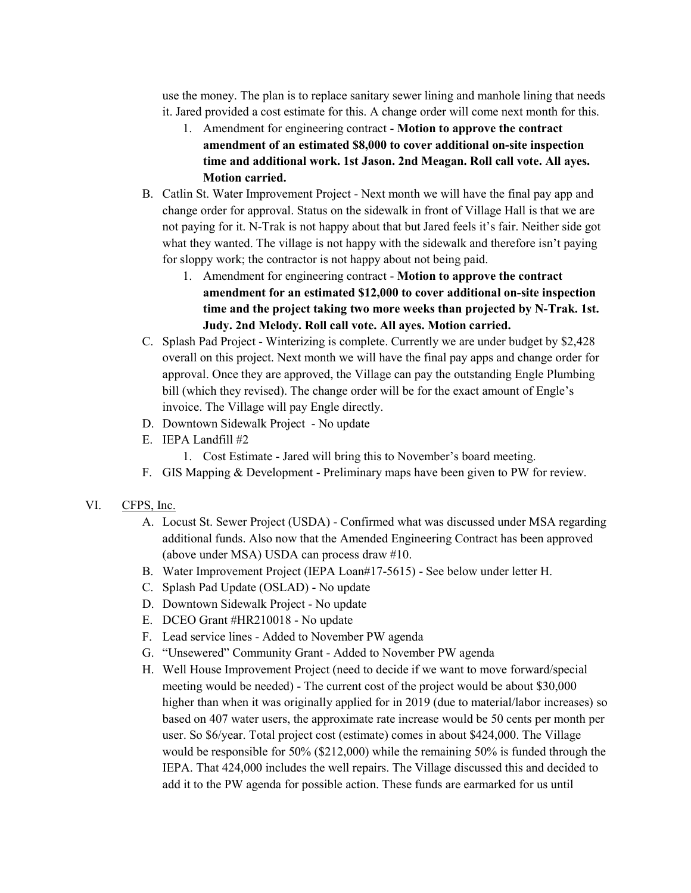use the money. The plan is to replace sanitary sewer lining and manhole lining that needs it. Jared provided a cost estimate for this. A change order will come next month for this.

- 1. Amendment for engineering contract Motion to approve the contract amendment of an estimated \$8,000 to cover additional on-site inspection time and additional work. 1st Jason. 2nd Meagan. Roll call vote. All ayes. Motion carried.
- B. Catlin St. Water Improvement Project Next month we will have the final pay app and change order for approval. Status on the sidewalk in front of Village Hall is that we are not paying for it. N-Trak is not happy about that but Jared feels it's fair. Neither side got what they wanted. The village is not happy with the sidewalk and therefore isn't paying for sloppy work; the contractor is not happy about not being paid.
	- 1. Amendment for engineering contract Motion to approve the contract amendment for an estimated \$12,000 to cover additional on-site inspection time and the project taking two more weeks than projected by N-Trak. 1st. Judy. 2nd Melody. Roll call vote. All ayes. Motion carried.
- C. Splash Pad Project Winterizing is complete. Currently we are under budget by \$2,428 overall on this project. Next month we will have the final pay apps and change order for approval. Once they are approved, the Village can pay the outstanding Engle Plumbing bill (which they revised). The change order will be for the exact amount of Engle's invoice. The Village will pay Engle directly.
- D. Downtown Sidewalk Project No update
- E. IEPA Landfill #2
	- 1. Cost Estimate Jared will bring this to November's board meeting.
- F. GIS Mapping & Development Preliminary maps have been given to PW for review.
- VI. CFPS, Inc.
	- A. Locust St. Sewer Project (USDA) Confirmed what was discussed under MSA regarding additional funds. Also now that the Amended Engineering Contract has been approved (above under MSA) USDA can process draw #10.
	- B. Water Improvement Project (IEPA Loan#17-5615) See below under letter H.
	- C. Splash Pad Update (OSLAD) No update
	- D. Downtown Sidewalk Project No update
	- E. DCEO Grant #HR210018 No update
	- F. Lead service lines Added to November PW agenda
	- G. "Unsewered" Community Grant Added to November PW agenda
	- H. Well House Improvement Project (need to decide if we want to move forward/special meeting would be needed) - The current cost of the project would be about \$30,000 higher than when it was originally applied for in 2019 (due to material/labor increases) so based on 407 water users, the approximate rate increase would be 50 cents per month per user. So \$6/year. Total project cost (estimate) comes in about \$424,000. The Village would be responsible for 50% (\$212,000) while the remaining 50% is funded through the IEPA. That 424,000 includes the well repairs. The Village discussed this and decided to add it to the PW agenda for possible action. These funds are earmarked for us until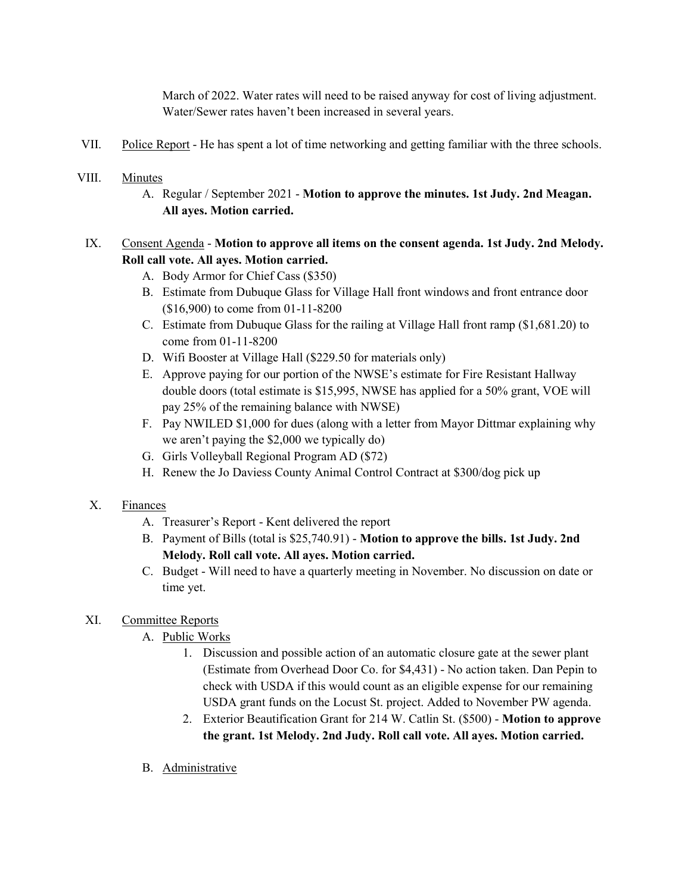March of 2022. Water rates will need to be raised anyway for cost of living adjustment. Water/Sewer rates haven't been increased in several years.

VII. Police Report - He has spent a lot of time networking and getting familiar with the three schools.

### VIII. Minutes

A. Regular / September 2021 - Motion to approve the minutes. 1st Judy. 2nd Meagan. All ayes. Motion carried.

# IX. Consent Agenda - Motion to approve all items on the consent agenda. 1st Judy. 2nd Melody. Roll call vote. All ayes. Motion carried.

- A. Body Armor for Chief Cass (\$350)
- B. Estimate from Dubuque Glass for Village Hall front windows and front entrance door (\$16,900) to come from 01-11-8200
- C. Estimate from Dubuque Glass for the railing at Village Hall front ramp (\$1,681.20) to come from 01-11-8200
- D. Wifi Booster at Village Hall (\$229.50 for materials only)
- E. Approve paying for our portion of the NWSE's estimate for Fire Resistant Hallway double doors (total estimate is \$15,995, NWSE has applied for a 50% grant, VOE will pay 25% of the remaining balance with NWSE)
- F. Pay NWILED \$1,000 for dues (along with a letter from Mayor Dittmar explaining why we aren't paying the \$2,000 we typically do)
- G. Girls Volleyball Regional Program AD (\$72)
- H. Renew the Jo Daviess County Animal Control Contract at \$300/dog pick up

# X. Finances

- A. Treasurer's Report Kent delivered the report
- B. Payment of Bills (total is \$25,740.91) Motion to approve the bills. 1st Judy. 2nd Melody. Roll call vote. All ayes. Motion carried.
- C. Budget Will need to have a quarterly meeting in November. No discussion on date or time yet.

# XI. Committee Reports

- A. Public Works
	- 1. Discussion and possible action of an automatic closure gate at the sewer plant (Estimate from Overhead Door Co. for \$4,431) - No action taken. Dan Pepin to check with USDA if this would count as an eligible expense for our remaining USDA grant funds on the Locust St. project. Added to November PW agenda.
	- 2. Exterior Beautification Grant for 214 W. Catlin St. (\$500) Motion to approve the grant. 1st Melody. 2nd Judy. Roll call vote. All ayes. Motion carried.
- B. Administrative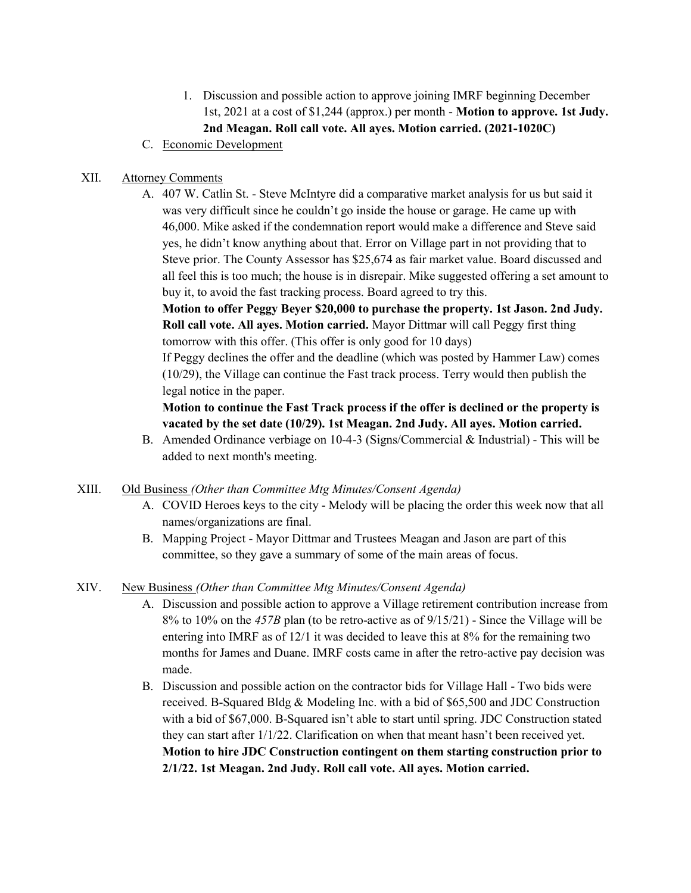- 1. Discussion and possible action to approve joining IMRF beginning December 1st, 2021 at a cost of \$1,244 (approx.) per month - Motion to approve. 1st Judy. 2nd Meagan. Roll call vote. All ayes. Motion carried. (2021-1020C)
- C. Economic Development

### XII. Attorney Comments

A. 407 W. Catlin St. - Steve McIntyre did a comparative market analysis for us but said it was very difficult since he couldn't go inside the house or garage. He came up with 46,000. Mike asked if the condemnation report would make a difference and Steve said yes, he didn't know anything about that. Error on Village part in not providing that to Steve prior. The County Assessor has \$25,674 as fair market value. Board discussed and all feel this is too much; the house is in disrepair. Mike suggested offering a set amount to buy it, to avoid the fast tracking process. Board agreed to try this.

Motion to offer Peggy Beyer \$20,000 to purchase the property. 1st Jason. 2nd Judy. Roll call vote. All ayes. Motion carried. Mayor Dittmar will call Peggy first thing tomorrow with this offer. (This offer is only good for 10 days)

If Peggy declines the offer and the deadline (which was posted by Hammer Law) comes (10/29), the Village can continue the Fast track process. Terry would then publish the legal notice in the paper.

## Motion to continue the Fast Track process if the offer is declined or the property is vacated by the set date (10/29). 1st Meagan. 2nd Judy. All ayes. Motion carried.

B. Amended Ordinance verbiage on 10-4-3 (Signs/Commercial & Industrial) - This will be added to next month's meeting.

#### XIII. Old Business (Other than Committee Mtg Minutes/Consent Agenda)

- A. COVID Heroes keys to the city Melody will be placing the order this week now that all names/organizations are final.
- B. Mapping Project Mayor Dittmar and Trustees Meagan and Jason are part of this committee, so they gave a summary of some of the main areas of focus.

#### XIV. New Business (Other than Committee Mtg Minutes/Consent Agenda)

- A. Discussion and possible action to approve a Village retirement contribution increase from 8% to 10% on the 457B plan (to be retro-active as of 9/15/21) - Since the Village will be entering into IMRF as of 12/1 it was decided to leave this at 8% for the remaining two months for James and Duane. IMRF costs came in after the retro-active pay decision was made.
- B. Discussion and possible action on the contractor bids for Village Hall Two bids were received. B-Squared Bldg & Modeling Inc. with a bid of \$65,500 and JDC Construction with a bid of \$67,000. B-Squared isn't able to start until spring. JDC Construction stated they can start after 1/1/22. Clarification on when that meant hasn't been received yet. Motion to hire JDC Construction contingent on them starting construction prior to 2/1/22. 1st Meagan. 2nd Judy. Roll call vote. All ayes. Motion carried.